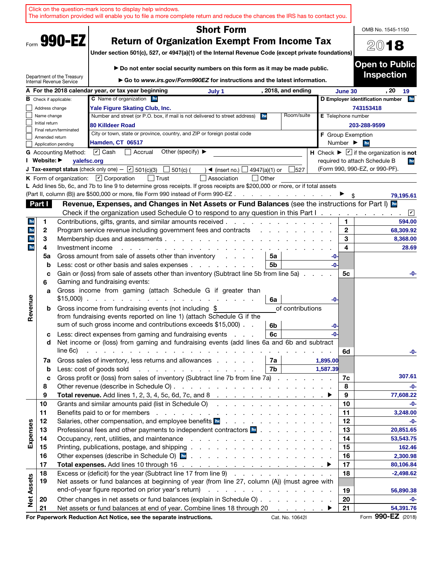|                   |                |                               | Click on the question-mark icons to display help windows.<br>The information provided will enable you to file a more complete return and reduce the chances the IRS has to contact you.                             |                           |                              |                                                                                |
|-------------------|----------------|-------------------------------|---------------------------------------------------------------------------------------------------------------------------------------------------------------------------------------------------------------------|---------------------------|------------------------------|--------------------------------------------------------------------------------|
|                   |                |                               | <b>Short Form</b>                                                                                                                                                                                                   |                           |                              | OMB No. 1545-1150                                                              |
|                   |                | Form 990-EZ                   | <b>Return of Organization Exempt From Income Tax</b>                                                                                                                                                                |                           |                              | 2018                                                                           |
|                   |                |                               | Under section 501(c), 527, or 4947(a)(1) of the Internal Revenue Code (except private foundations)                                                                                                                  |                           |                              |                                                                                |
|                   |                |                               | Do not enter social security numbers on this form as it may be made public.                                                                                                                                         |                           |                              | <b>Open to Public</b>                                                          |
|                   |                | Department of the Treasury    |                                                                                                                                                                                                                     |                           |                              | <b>Inspection</b>                                                              |
|                   |                | Internal Revenue Service      | Go to www.irs.gov/Form990EZ for instructions and the latest information.                                                                                                                                            |                           |                              |                                                                                |
|                   |                |                               | A For the 2018 calendar year, or tax year beginning<br>, 2018, and ending<br>July 1<br><b>C</b> Name of organization he                                                                                             |                           | June 30                      | . 20<br>19<br>he<br>D Employer identification number                           |
|                   | Address change | <b>B</b> Check if applicable: | Yale Figure Skating Club, Inc.                                                                                                                                                                                      |                           |                              | 743153418                                                                      |
|                   | Name change    |                               | Number and street (or P.O. box, if mail is not delivered to street address)<br>Room/suite<br>he                                                                                                                     | <b>E</b> Telephone number |                              |                                                                                |
|                   | Initial return |                               | 80 Killdeer Road                                                                                                                                                                                                    |                           |                              | 203-288-9599                                                                   |
|                   | Amended return | Final return/terminated       | City or town, state or province, country, and ZIP or foreign postal code                                                                                                                                            |                           |                              | <b>F</b> Group Exemption                                                       |
|                   |                | Application pending           | Hamden, CT 06517                                                                                                                                                                                                    |                           | Number $\blacktriangleright$ | he                                                                             |
|                   |                | <b>G</b> Accounting Method:   | $\boxed{\mathbf{v}}$ Cash<br>Other (specify) $\blacktriangleright$<br>Accrual                                                                                                                                       |                           |                              | <b>H</b> Check $\blacktriangleright \square$ if the organization is <b>not</b> |
|                   | I Website: ▶   | yalefsc.org                   |                                                                                                                                                                                                                     |                           |                              | required to attach Schedule B<br>he                                            |
|                   |                |                               | <b>J Tax-exempt status</b> (check only one) - $\boxed{\mathbf{v}}$ 501(c)(3)<br>$501(c)$ (<br>$\rightarrow$ (insert no.)<br>4947(a)(1) or<br>527                                                                    |                           |                              | (Form 990, 990-EZ, or 990-PF).                                                 |
|                   |                |                               | K Form of organization: $\boxed{V}$ Corporation<br>∣ l Trust<br>Association<br>  Other                                                                                                                              |                           |                              |                                                                                |
|                   |                |                               | L Add lines 5b, 6c, and 7b to line 9 to determine gross receipts. If gross receipts are \$200,000 or more, or if total assets<br>(Part II, column (B)) are \$500,000 or more, file Form 990 instead of Form 990-EZ. |                           |                              |                                                                                |
|                   |                |                               | the contract of the contract of the<br>Revenue, Expenses, and Changes in Net Assets or Fund Balances (see the instructions for Part I) In                                                                           |                           |                              | 79,195.61                                                                      |
|                   | Part I         |                               | Check if the organization used Schedule O to respond to any question in this Part I.                                                                                                                                |                           |                              | $ \mathbf{v} $                                                                 |
| he                | 1              |                               | Contributions, gifts, grants, and similar amounts received.                                                                                                                                                         |                           | 1                            | $\mathbf{r}$<br>594.00                                                         |
| he                | 2              |                               | Program service revenue including government fees and contracts                                                                                                                                                     |                           | $\mathbf{2}$                 | 68,309.92                                                                      |
| he                | 3              |                               | Membership dues and assessments.<br>and a state of the state of the state of the                                                                                                                                    |                           | 3                            | 8,368.00                                                                       |
| he                | 4              | Investment income             |                                                                                                                                                                                                                     |                           | 4                            | 28.69                                                                          |
|                   | 5a             |                               | Gross amount from sale of assets other than inventory<br>5a<br>and the control                                                                                                                                      | -0-                       |                              |                                                                                |
|                   | b              |                               | Less: cost or other basis and sales expenses<br>5b                                                                                                                                                                  | -0-                       |                              |                                                                                |
|                   | c              |                               | Gain or (loss) from sale of assets other than inventory (Subtract line 5b from line 5a).                                                                                                                            |                           | 5с                           | -0-                                                                            |
|                   | 6              |                               | Gaming and fundraising events:                                                                                                                                                                                      |                           |                              |                                                                                |
|                   | a              |                               | Gross income from gaming (attach Schedule G if greater than<br>$$15,000$                                                                                                                                            |                           |                              |                                                                                |
| Revenue           | b              |                               | 6a<br>Gross income from fundraising events (not including \$<br>of contributions                                                                                                                                    | -0-                       |                              |                                                                                |
|                   |                |                               | from fundraising events reported on line 1) (attach Schedule G if the                                                                                                                                               |                           |                              |                                                                                |
|                   |                |                               | sum of such gross income and contributions exceeds \$15,000).<br>6b                                                                                                                                                 | -0-                       |                              |                                                                                |
|                   | с              |                               | Less: direct expenses from gaming and fundraising events<br>6с                                                                                                                                                      | -0-                       |                              |                                                                                |
|                   | d              |                               | Net income or (loss) from gaming and fundraising events (add lines 6a and 6b and subtract                                                                                                                           |                           |                              |                                                                                |
|                   |                | line 6c)                      | and the contract of the contract of the contract of the contract of the contract of                                                                                                                                 |                           | 6d                           | -0-                                                                            |
|                   | 7a             |                               | Gross sales of inventory, less returns and allowances<br>7а                                                                                                                                                         | 1,895.00                  |                              |                                                                                |
|                   | $\mathbf b$    |                               | 7b<br>Less: cost of goods sold                                                                                                                                                                                      | 1,587.39                  |                              |                                                                                |
|                   | c              |                               | Gross profit or (loss) from sales of inventory (Subtract line 7b from line 7a)                                                                                                                                      |                           | 7c                           | 307.61                                                                         |
|                   | 8<br>9         |                               |                                                                                                                                                                                                                     |                           | 8<br>9                       | -0-<br>77,608.22                                                               |
|                   | 10             |                               | Grants and similar amounts paid (list in Schedule O)                                                                                                                                                                |                           | 10                           | -0-                                                                            |
|                   | 11             |                               |                                                                                                                                                                                                                     |                           | 11                           | 3,248.00                                                                       |
|                   | 12             |                               | Salaries, other compensation, and employee benefits <b>herefits herefits herefits herefinds herefinds herefinds herefinds herefinds herefinds herefinds herefinds herefinds herefinds herefinds here</b>            |                           | 12                           | -0-                                                                            |
| Expenses          | 13             |                               | Professional fees and other payments to independent contractors <b>E</b> .                                                                                                                                          |                           | 13                           | 20,851.65                                                                      |
|                   | 14             |                               |                                                                                                                                                                                                                     |                           | 14                           | 53,543.75                                                                      |
|                   | 15             |                               |                                                                                                                                                                                                                     |                           | 15                           | 162.46                                                                         |
|                   | 16             |                               |                                                                                                                                                                                                                     |                           | 16                           | 2,300.98                                                                       |
|                   | 17             |                               |                                                                                                                                                                                                                     |                           | 17                           | 80,106.84                                                                      |
|                   | 18<br>19       |                               | Excess or (deficit) for the year (Subtract line 17 from line 9)<br>Net assets or fund balances at beginning of year (from line 27, column (A)) (must agree with                                                     |                           | 18                           | $-2,498.62$                                                                    |
| <b>Net Assets</b> |                |                               |                                                                                                                                                                                                                     |                           | 19                           | 56,890.38                                                                      |
|                   | 20             |                               | Other changes in net assets or fund balances (explain in Schedule O)                                                                                                                                                |                           | 20                           | -0-                                                                            |
|                   | 21             |                               | Net assets or fund balances at end of year. Combine lines 18 through 20 ▶                                                                                                                                           |                           | 21                           | 54,391.76                                                                      |
|                   |                |                               | For Paperwork Reduction Act Notice, see the separate instructions.<br>Cat. No. 10642I                                                                                                                               |                           |                              | Form 990-EZ (2018)                                                             |
|                   |                |                               |                                                                                                                                                                                                                     |                           |                              |                                                                                |

Ť.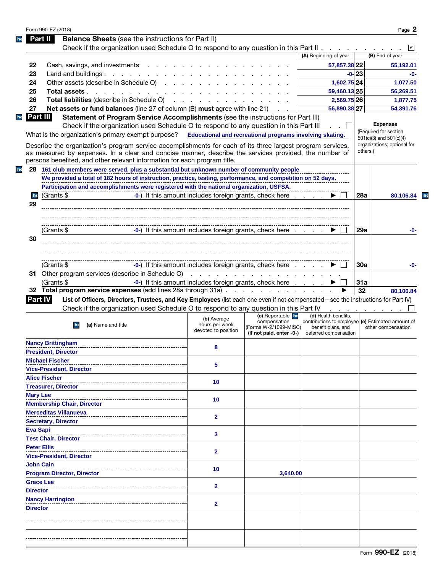|                 | <b>Balance Sheets</b> (see the instructions for Part II)<br>Part II<br>Check if the organization used Schedule O to respond to any question in this Part II $\ldots$                                                                                                                              |                                                      |                                                                                        |                                                                                                                          |                          |                                                        |
|-----------------|---------------------------------------------------------------------------------------------------------------------------------------------------------------------------------------------------------------------------------------------------------------------------------------------------|------------------------------------------------------|----------------------------------------------------------------------------------------|--------------------------------------------------------------------------------------------------------------------------|--------------------------|--------------------------------------------------------|
|                 |                                                                                                                                                                                                                                                                                                   |                                                      |                                                                                        | (A) Beginning of year                                                                                                    |                          | (B) End of year                                        |
| 22              | Cash, savings, and investments                                                                                                                                                                                                                                                                    |                                                      |                                                                                        | 57,857.38 22                                                                                                             |                          | 55,192.01                                              |
| 23              | Land and buildings. $\cdot \cdot \cdot \cdot \cdot \cdot \cdot \cdot \cdot \cdot \cdot$                                                                                                                                                                                                           |                                                      |                                                                                        |                                                                                                                          | $-0 - 23$                | -0-                                                    |
| 24              | Other assets (describe in Schedule O)                                                                                                                                                                                                                                                             |                                                      |                                                                                        | 1,602.75 24                                                                                                              |                          | 1,077.50                                               |
| 25              | Total assets                                                                                                                                                                                                                                                                                      |                                                      |                                                                                        | 59,460.13 25                                                                                                             |                          | 56,269.51                                              |
| 26              | <b>Total liabilities</b> (describe in Schedule O)                                                                                                                                                                                                                                                 |                                                      |                                                                                        | 2,569.75 26                                                                                                              |                          | 1,877.75                                               |
| 27              | Net assets or fund balances (line 27 of column (B) must agree with line 21)                                                                                                                                                                                                                       |                                                      |                                                                                        | 56,890.38 27                                                                                                             |                          | 54,391.76                                              |
|                 | Part III<br>Statement of Program Service Accomplishments (see the instructions for Part III)                                                                                                                                                                                                      |                                                      |                                                                                        |                                                                                                                          |                          |                                                        |
|                 | Check if the organization used Schedule O to respond to any question in this Part III                                                                                                                                                                                                             |                                                      |                                                                                        |                                                                                                                          |                          | <b>Expenses</b>                                        |
|                 | What is the organization's primary exempt purpose? Educational and recreational programs involving skating.                                                                                                                                                                                       |                                                      |                                                                                        |                                                                                                                          |                          | (Required for section                                  |
|                 | Describe the organization's program service accomplishments for each of its three largest program services,<br>as measured by expenses. In a clear and concise manner, describe the services provided, the number of<br>persons benefited, and other relevant information for each program title. |                                                      |                                                                                        |                                                                                                                          | others.)                 | 501(c)(3) and 501(c)(4)<br>organizations; optional for |
|                 | 28 161 club members were served, plus a substantial but unknown number of community people                                                                                                                                                                                                        |                                                      |                                                                                        |                                                                                                                          |                          |                                                        |
|                 | We provided a total of 182 hours of instruction, practice, testing, performance, and competition on 52 days.                                                                                                                                                                                      |                                                      |                                                                                        |                                                                                                                          |                          |                                                        |
|                 | Participation and accomplishments were registered with the national organization, USFSA.                                                                                                                                                                                                          |                                                      |                                                                                        |                                                                                                                          |                          |                                                        |
| he              | (Grants \$                                                                                                                                                                                                                                                                                        |                                                      | -0-) If this amount includes foreign grants, check here                                |                                                                                                                          | 28a                      | 80,106.84                                              |
| 29              |                                                                                                                                                                                                                                                                                                   |                                                      |                                                                                        |                                                                                                                          |                          |                                                        |
|                 |                                                                                                                                                                                                                                                                                                   |                                                      |                                                                                        |                                                                                                                          |                          |                                                        |
|                 |                                                                                                                                                                                                                                                                                                   |                                                      |                                                                                        |                                                                                                                          |                          |                                                        |
|                 | (Grants \$                                                                                                                                                                                                                                                                                        |                                                      | -0-) If this amount includes foreign grants, check here                                |                                                                                                                          | 29a                      | -0-                                                    |
| 30              |                                                                                                                                                                                                                                                                                                   |                                                      |                                                                                        |                                                                                                                          |                          |                                                        |
|                 |                                                                                                                                                                                                                                                                                                   |                                                      |                                                                                        |                                                                                                                          |                          |                                                        |
|                 |                                                                                                                                                                                                                                                                                                   |                                                      |                                                                                        |                                                                                                                          |                          |                                                        |
|                 | -0-) If this amount includes foreign grants, check here<br>(Grants \$                                                                                                                                                                                                                             |                                                      |                                                                                        |                                                                                                                          | 30a                      | -0-                                                    |
|                 |                                                                                                                                                                                                                                                                                                   |                                                      |                                                                                        |                                                                                                                          |                          |                                                        |
|                 |                                                                                                                                                                                                                                                                                                   |                                                      |                                                                                        |                                                                                                                          |                          |                                                        |
|                 | (Grants \$                                                                                                                                                                                                                                                                                        |                                                      | -0-) If this amount includes foreign grants, check here                                |                                                                                                                          | 31a                      |                                                        |
|                 | 32 Total program service expenses (add lines 28a through 31a)                                                                                                                                                                                                                                     |                                                      |                                                                                        |                                                                                                                          | 32                       | 80,106.84                                              |
|                 | List of Officers, Directors, Trustees, and Key Employees (list each one even if not compensated—see the instructions for Part IV)<br>Part IV                                                                                                                                                      |                                                      |                                                                                        |                                                                                                                          |                          |                                                        |
|                 | Check if the organization used Schedule O to respond to any question in this Part IV                                                                                                                                                                                                              |                                                      |                                                                                        |                                                                                                                          | and a state of the state |                                                        |
|                 | (a) Name and title<br>he                                                                                                                                                                                                                                                                          | (b) Average<br>hours per week<br>devoted to position | (c) Reportable he<br>compensation<br>(Forms W-2/1099-MISC)<br>(if not paid, enter -0-) | (d) Health benefits,<br>contributions to employee (e) Estimated amount of<br>benefit plans, and<br>deferred compensation |                          | other compensation                                     |
|                 | <b>Nancy Brittingham</b>                                                                                                                                                                                                                                                                          | я                                                    |                                                                                        |                                                                                                                          |                          |                                                        |
|                 | <b>President, Director</b>                                                                                                                                                                                                                                                                        |                                                      |                                                                                        |                                                                                                                          |                          |                                                        |
|                 | <b>Michael Fischer</b>                                                                                                                                                                                                                                                                            |                                                      |                                                                                        |                                                                                                                          |                          |                                                        |
|                 | <b>Vice-President, Director</b>                                                                                                                                                                                                                                                                   | 5                                                    |                                                                                        |                                                                                                                          |                          |                                                        |
|                 | <b>Alice Fischer</b>                                                                                                                                                                                                                                                                              |                                                      |                                                                                        |                                                                                                                          |                          |                                                        |
|                 | <b>Treasurer, Director</b>                                                                                                                                                                                                                                                                        | 10                                                   |                                                                                        |                                                                                                                          |                          |                                                        |
|                 | <b>Mary Lee</b>                                                                                                                                                                                                                                                                                   |                                                      |                                                                                        |                                                                                                                          |                          |                                                        |
|                 | <b>Membership Chair, Director</b>                                                                                                                                                                                                                                                                 | 10                                                   |                                                                                        |                                                                                                                          |                          |                                                        |
|                 | <b>Merceditas Villanueva</b>                                                                                                                                                                                                                                                                      |                                                      |                                                                                        |                                                                                                                          |                          |                                                        |
|                 | <b>Secretary, Director</b>                                                                                                                                                                                                                                                                        | $\mathbf{2}$                                         |                                                                                        |                                                                                                                          |                          |                                                        |
|                 | <b>Eva Sapi</b>                                                                                                                                                                                                                                                                                   |                                                      |                                                                                        |                                                                                                                          |                          |                                                        |
|                 | <b>Test Chair, Director</b>                                                                                                                                                                                                                                                                       | 3                                                    |                                                                                        |                                                                                                                          |                          |                                                        |
|                 | <b>Peter Ellis</b>                                                                                                                                                                                                                                                                                |                                                      |                                                                                        |                                                                                                                          |                          |                                                        |
|                 | <b>Vice-President, Director</b>                                                                                                                                                                                                                                                                   | $\mathbf{2}$                                         |                                                                                        |                                                                                                                          |                          |                                                        |
|                 | <b>John Cain</b>                                                                                                                                                                                                                                                                                  |                                                      |                                                                                        |                                                                                                                          |                          |                                                        |
|                 |                                                                                                                                                                                                                                                                                                   | 10                                                   | 3,640.00                                                                               |                                                                                                                          |                          |                                                        |
|                 | <b>Program Director, Director</b><br><b>Grace Lee</b>                                                                                                                                                                                                                                             |                                                      |                                                                                        |                                                                                                                          |                          |                                                        |
|                 |                                                                                                                                                                                                                                                                                                   | $\mathbf{2}$                                         |                                                                                        |                                                                                                                          |                          |                                                        |
| <b>Director</b> |                                                                                                                                                                                                                                                                                                   |                                                      |                                                                                        |                                                                                                                          |                          |                                                        |
|                 | <b>Nancy Harrington</b>                                                                                                                                                                                                                                                                           | $\mathbf{2}$                                         |                                                                                        |                                                                                                                          |                          |                                                        |
| <b>Director</b> |                                                                                                                                                                                                                                                                                                   |                                                      |                                                                                        |                                                                                                                          |                          |                                                        |
|                 |                                                                                                                                                                                                                                                                                                   |                                                      |                                                                                        |                                                                                                                          |                          |                                                        |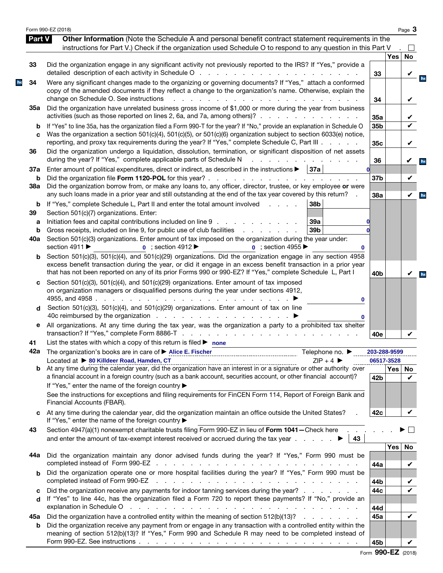|               | Form 990-EZ (2018)                                                                                                                                                                                                                                                                                                                               |                 |            | Page 3       |
|---------------|--------------------------------------------------------------------------------------------------------------------------------------------------------------------------------------------------------------------------------------------------------------------------------------------------------------------------------------------------|-----------------|------------|--------------|
| <b>Part V</b> | Other Information (Note the Schedule A and personal benefit contract statement requirements in the<br>instructions for Part V.) Check if the organization used Schedule O to respond to any question in this Part V                                                                                                                              |                 |            |              |
|               |                                                                                                                                                                                                                                                                                                                                                  |                 | <b>Yes</b> | <b>No</b>    |
| 33            | Did the organization engage in any significant activity not previously reported to the IRS? If "Yes," provide a                                                                                                                                                                                                                                  | 33              |            |              |
| 34            | Were any significant changes made to the organizing or governing documents? If "Yes," attach a conformed<br>copy of the amended documents if they reflect a change to the organization's name. Otherwise, explain the                                                                                                                            |                 |            | V            |
| 35а           | change on Schedule O. See instructions<br>the contract of the contract of the con-<br>Did the organization have unrelated business gross income of \$1,000 or more during the year from business                                                                                                                                                 | 34              |            | V            |
|               | activities (such as those reported on lines 2, 6a, and 7a, among others)?                                                                                                                                                                                                                                                                        | 35a             |            | V            |
| b<br>C        | If "Yes" to line 35a, has the organization filed a Form 990-T for the year? If "No," provide an explanation in Schedule O<br>Was the organization a section 501(c)(4), 501(c)(5), or 501(c)(6) organization subject to section 6033(e) notice,<br>reporting, and proxy tax requirements during the year? If "Yes," complete Schedule C, Part III | 35b<br>35c      |            | V            |
| 36            | Did the organization undergo a liquidation, dissolution, termination, or significant disposition of net assets<br>during the year? If "Yes," complete applicable parts of Schedule N                                                                                                                                                             | 36              |            | V            |
| 37a<br>b      | Enter amount of political expenditures, direct or indirect, as described in the instructions $\blacktriangleright$<br> 37a                                                                                                                                                                                                                       | 37 <sub>b</sub> |            | V            |
| 38a           | Did the organization borrow from, or make any loans to, any officer, director, trustee, or key employee or were<br>any such loans made in a prior year and still outstanding at the end of the tax year covered by this return?                                                                                                                  | 38a             |            | $\checkmark$ |
| b<br>39       | If "Yes," complete Schedule L, Part II and enter the total amount involved<br>38b<br>$\mathbf{L}$ and $\mathbf{L}$ and $\mathbf{L}$<br>Section 501(c)(7) organizations. Enter:                                                                                                                                                                   |                 |            |              |
| a<br>b        | Initiation fees and capital contributions included on line 9<br>39a<br>39 <sub>b</sub><br>Gross receipts, included on line 9, for public use of club facilities<br>and a straight and                                                                                                                                                            |                 |            |              |
| 40a           | Section 501(c)(3) organizations. Enter amount of tax imposed on the organization during the year under:<br>section 4911 ▶<br>$\bullet$ ; section 4912<br><b>0</b> : section 4955<br>0                                                                                                                                                            |                 |            |              |
| b             | Section 501(c)(3), 501(c)(4), and 501(c)(29) organizations. Did the organization engage in any section 4958<br>excess benefit transaction during the year, or did it engage in an excess benefit transaction in a prior year<br>that has not been reported on any of its prior Forms 990 or 990-EZ? If "Yes," complete Schedule L, Part I        | 40 <sub>b</sub> |            | V            |
| c             | Section 501(c)(3), 501(c)(4), and 501(c)(29) organizations. Enter amount of tax imposed<br>on organization managers or disqualified persons during the year under sections 4912,<br>4955, and 4958.<br>and the contract of the contract of<br>0                                                                                                  |                 |            |              |
| d             | Section 501(c)(3), 501(c)(4), and 501(c)(29) organizations. Enter amount of tax on line<br>0                                                                                                                                                                                                                                                     |                 |            |              |
| е             | All organizations. At any time during the tax year, was the organization a party to a prohibited tax shelter                                                                                                                                                                                                                                     | 40e             |            |              |
| 41            | List the states with which a copy of this return is filed $\blacktriangleright$ none                                                                                                                                                                                                                                                             |                 |            |              |
|               | 42a The organization's books are in care of ▶ Alice E. Fischer<br>Telephone no. $\blacktriangleright$<br>Located at ▶ 80 Killdeer Road, Hamden, CT<br>$ZIP + 4$                                                                                                                                                                                  | 203-288-9599    | 06517-3528 |              |
| b             | a financial account in a foreign country (such as a bank account, securities account, or other financial account)?                                                                                                                                                                                                                               | 42b             | Yes   No   | V            |
|               | If "Yes," enter the name of the foreign country ▶<br>See the instructions for exceptions and filing requirements for FinCEN Form 114, Report of Foreign Bank and<br>Financial Accounts (FBAR).                                                                                                                                                   |                 |            |              |
| C             | At any time during the calendar year, did the organization maintain an office outside the United States?<br>If "Yes," enter the name of the foreign country ▶                                                                                                                                                                                    | 42c             |            |              |
| 43            | Section 4947(a)(1) nonexempt charitable trusts filing Form 990-EZ in lieu of Form 1041-Check here<br>43                                                                                                                                                                                                                                          |                 |            |              |
| 44а           | Did the organization maintain any donor advised funds during the year? If "Yes," Form 990 must be                                                                                                                                                                                                                                                | 44a             | <b>Yes</b> | No<br>V      |
| b             | Did the organization operate one or more hospital facilities during the year? If "Yes," Form 990 must be<br>completed instead of Form 990-EZ<br>the contract of the contract of the contract of the contract of the contract of                                                                                                                  |                 |            |              |
| c<br>d        | Did the organization receive any payments for indoor tanning services during the year?<br>If "Yes" to line 44c, has the organization filed a Form 720 to report these payments? If "No," provide an                                                                                                                                              | 44b<br>44c      |            | V<br>V       |
| 45а           | explanation in Schedule O response to the contract of the contract of the contract of the contract of the contract of the contract of the contract of the contract of the contract of the contract of the contract of the cont<br>Did the organization have a controlled entity within the meaning of section 512(b)(13)?                        | 44d<br>45a      |            | V            |
| b             | Did the organization receive any payment from or engage in any transaction with a controlled entity within the<br>meaning of section 512(b)(13)? If "Yes," Form 990 and Schedule R may need to be completed instead of                                                                                                                           |                 |            |              |
|               |                                                                                                                                                                                                                                                                                                                                                  | 45b             |            |              |

Form 990-EZ (2018)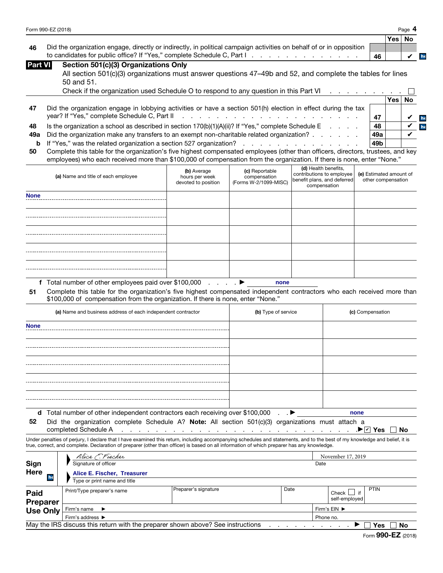| Form 990-EZ (2018) | Page |
|--------------------|------|
|                    |      |

| یر ب<br>٥<br>0 |  |
|----------------|--|
| N<br>г         |  |

 $V$  he

|                                                                                                                        |        | ∣Yes |
|------------------------------------------------------------------------------------------------------------------------|--------|------|
| 46 Did the organization engage, directly or indirectly, in political campaign activities on behalf of or in opposition |        |      |
| to candidates for public office? If "Yes," complete Schedule C, Part I                                                 | ່ 46 ⊥ |      |

| Part VI | Section 501(c)(3) Organizations Only |  |
|---------|--------------------------------------|--|
|         |                                      |  |

| All section 501(c)(3) organizations must answer questions 47–49b and 52, and complete the tables for lines |  |
|------------------------------------------------------------------------------------------------------------|--|
| 50 and 51.                                                                                                 |  |

|     | Check if the organization used Schedule O to respond to any question in this Part VI                          |                 |          |  |
|-----|---------------------------------------------------------------------------------------------------------------|-----------------|----------|--|
|     |                                                                                                               |                 | Yes ∣ No |  |
| 47  | Did the organization engage in lobbying activities or have a section 501(h) election in effect during the tax |                 |          |  |
|     |                                                                                                               |                 |          |  |
| 48  | Is the organization a school as described in section $170(b)(1)(A)(ii)?$ If "Yes," complete Schedule E        | 48              |          |  |
| 49а | Did the organization make any transfers to an exempt non-charitable related organization?                     | 49a             |          |  |
|     |                                                                                                               | 49 <sub>b</sub> |          |  |

| 50 Complete this table for the organization's five highest compensated employees (other than officers, directors, trustees, and key |  |  |
|-------------------------------------------------------------------------------------------------------------------------------------|--|--|
| employees) who each received more than \$100,000 of compensation from the organization. If there is none, enter "None."             |  |  |

| (a) Name and title of each employee | (b) Average<br>hours per week<br>devoted to position | (c) Reportable<br>compensation<br>(Forms W-2/1099-MISC) | (d) Health benefits,<br>contributions to employee<br>benefit plans, and deferred<br>compensation | (e) Estimated amount of<br>other compensation |
|-------------------------------------|------------------------------------------------------|---------------------------------------------------------|--------------------------------------------------------------------------------------------------|-----------------------------------------------|
| <b>None</b>                         |                                                      |                                                         |                                                                                                  |                                               |
|                                     |                                                      |                                                         |                                                                                                  |                                               |
|                                     |                                                      |                                                         |                                                                                                  |                                               |
|                                     |                                                      |                                                         |                                                                                                  |                                               |
|                                     |                                                      |                                                         |                                                                                                  |                                               |

f Total number of other employees paid over \$100,000 . . . .  $\blacktriangleright$ **none**

51 Complete this table for the organization's five highest compensated independent contractors who each received more than \$100,000 of compensation from the organization. If there is none, enter "None."

|             | (a) Name and business address of each independent contractor                                                                                                                                             | (b) Type of service | (c) Compensation |
|-------------|----------------------------------------------------------------------------------------------------------------------------------------------------------------------------------------------------------|---------------------|------------------|
| <b>None</b> |                                                                                                                                                                                                          |                     |                  |
|             |                                                                                                                                                                                                          |                     |                  |
|             |                                                                                                                                                                                                          |                     |                  |
|             |                                                                                                                                                                                                          |                     |                  |
|             |                                                                                                                                                                                                          |                     |                  |
|             |                                                                                                                                                                                                          |                     |                  |
| EO.         | d Total number of other independent contractors each receiving over \$100,000 ▶<br>$D(A, A)$ as a construction consisted $D$ chaoling $AD$ Mater. All continue $EDA(A)(D)$ consistentions investigated a |                     | none             |

|  |                      |  |  |  | 52 Did the organization complete Schedule A? Note: All section 501(c)(3) organizations must attach a |  |  |
|--|----------------------|--|--|--|------------------------------------------------------------------------------------------------------|--|--|
|  | aamalatad Cahadula A |  |  |  |                                                                                                      |  |  |

completed Schedule A .▶☑ Yes □ No

Under penalties of perjury, I declare that I have examined this return, including accompanying schedules and statements, and to the best of my knowledge and belief, it is true, correct, and complete. Declaration of preparer (other than officer) is based on all information of which preparer has any knowledge.

|                  | Alice E. Fischer                                           |                                                                                 |  |  | November 17, 2019            |             |  |  |
|------------------|------------------------------------------------------------|---------------------------------------------------------------------------------|--|--|------------------------------|-------------|--|--|
| Sign             | Signature of officer                                       | Date                                                                            |  |  |                              |             |  |  |
| Here<br>he       | Alice E. Fischer, Treasurer                                |                                                                                 |  |  |                              |             |  |  |
|                  | Type or print name and title                               |                                                                                 |  |  |                              |             |  |  |
| Paid<br>Preparer | Preparer's signature<br>Date<br>Print/Type preparer's name |                                                                                 |  |  | Check<br>if<br>self-employed | <b>PTIN</b> |  |  |
| <b>Use Only</b>  | Firm's name $\blacktriangleright$                          | Firm's EIN ▶                                                                    |  |  |                              |             |  |  |
|                  | Firm's address $\blacktriangleright$                       | Phone no.                                                                       |  |  |                              |             |  |  |
|                  |                                                            | May the IRS discuss this return with the preparer shown above? See instructions |  |  |                              | No<br>Yes   |  |  |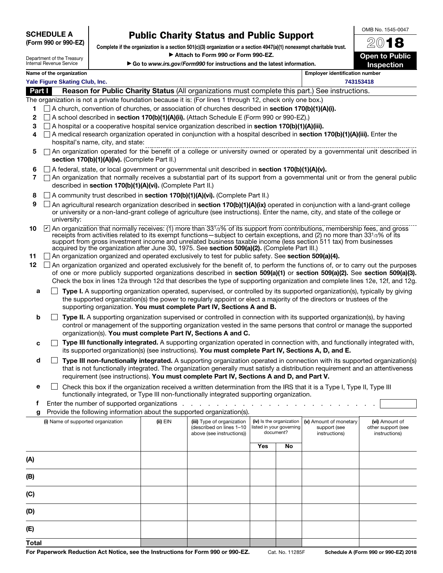SCHEDULE A (Form 990 or 990-EZ)

## Public Charity Status and Public Support

Complete if the organization is a section 501(c)(3) organization or a section 4947(a)(1) nonexempt charitable trust. Attach to Form 990 or Form 990-EZ.

Department of the Treasury Internal Revenue Service

|  | Go to www.irs.gov/Form990 for instructions and the latest information. |  |  |  |
|--|------------------------------------------------------------------------|--|--|--|
|  |                                                                        |  |  |  |

2018 Open to Public Inspection

OMB No. 1545-0047

## Name of the organization extensive properties and the original extensive properties of the original extensive properties and  $\blacksquare$ **Yale Figure Skating Club, Inc. 743153418**

Part **I** Reason for Public Charity Status (All organizations must complete this part.) See instructions.

The organization is not a private foundation because it is: (For lines 1 through 12, check only one box.)

- 1  $\Box$  A church, convention of churches, or association of churches described in section 170(b)(1)(A)(i).
- 2  $\Box$  A school described in **section 170(b)(1)(A)(ii).** (Attach Schedule E (Form 990 or 990-EZ).)
- 3  $\Box$  A hospital or a cooperative hospital service organization described in **section 170(b)(1)(A)(iii).**
- 4  $\Box$  A medical research organization operated in conjunction with a hospital described in section 170(b)(1)(A)(iii). Enter the hospital's name, city, and state:
- 5  $\Box$  An organization operated for the benefit of a college or university owned or operated by a governmental unit described in section 170(b)(1)(A)(iv). (Complete Part II.)
- 6  $\Box$  A federal, state, or local government or governmental unit described in section 170(b)(1)(A)(v).
- $7 \cap$  An organization that normally receives a substantial part of its support from a governmental unit or from the general public described in section 170(b)(1)(A)(vi). (Complete Part II.)
- 8  $\Box$  A community trust described in section 170(b)(1)(A)(vi). (Complete Part II.)
- **9**  $\Box$  An agricultural research organization described in **section 170(b)(1)(A)(ix)** operated in conjunction with a land-grant college or university or a non-land-grant college of agriculture (see instructions). Enter the name, city, and state of the college or university:
- **10**  $\Box$  An organization that normally receives: (1) more than 331/3% of its support from contributions, membership fees, and gross receipts from activities related to its exempt functions—subject to certain exceptions, and (2) no more than 33<sup>1</sup>/3% of its support from gross investment income and unrelated business taxable income (less section 511 tax) from businesses acquired by the organization after June 30, 1975. See section 509(a)(2). (Complete Part III.)
- 11 An organization organized and operated exclusively to test for public safety. See section 509(a)(4).
- 12 An organization organized and operated exclusively for the benefit of, to perform the functions of, or to carry out the purposes of one or more publicly supported organizations described in section 509(a)(1) or section 509(a)(2). See section 509(a)(3). Check the box in lines 12a through 12d that describes the type of supporting organization and complete lines 12e, 12f, and 12g.
	- **a**  $\Box$  **Type I.** A supporting organization operated, supervised, or controlled by its supported organization(s), typically by giving the supported organization(s) the power to regularly appoint or elect a majority of the directors or trustees of the supporting organization. You must complete Part IV, Sections A and B.
	- **b**  $\Box$  Type II. A supporting organization supervised or controlled in connection with its supported organization(s), by having control or management of the supporting organization vested in the same persons that control or manage the supported organization(s). You must complete Part IV, Sections A and C.
	- $c \Box$  Type III functionally integrated. A supporting organization operated in connection with, and functionally integrated with, its supported organization(s) (see instructions). You must complete Part IV, Sections A, D, and E.
	- $\Box$  Type III non-functionally integrated. A supporting organization operated in connection with its supported organization(s) that is not functionally integrated. The organization generally must satisfy a distribution requirement and an attentiveness requirement (see instructions). You must complete Part IV, Sections A and D, and Part V.
	- **e**  $\Box$  Check this box if the organization received a written determination from the IRS that it is a Type I, Type II, Type III functionally integrated, or Type III non-functionally integrated supporting organization.
	- f Enter the number of supported organizations . . . . .
	- g Provide the following information about the supported organization(s).

| (i) Name of supported organization | $(ii)$ EIN | (iii) Type of organization<br>(described on lines 1-10<br>above (see instructions)) | (iv) Is the organization | listed in your governing<br>document? | (v) Amount of monetary<br>support (see<br>instructions) | (vi) Amount of<br>other support (see<br>instructions) |  |
|------------------------------------|------------|-------------------------------------------------------------------------------------|--------------------------|---------------------------------------|---------------------------------------------------------|-------------------------------------------------------|--|
|                                    |            |                                                                                     | Yes                      | No                                    |                                                         |                                                       |  |
| (A)                                |            |                                                                                     |                          |                                       |                                                         |                                                       |  |
| (B)                                |            |                                                                                     |                          |                                       |                                                         |                                                       |  |
| (C)                                |            |                                                                                     |                          |                                       |                                                         |                                                       |  |
| (D)                                |            |                                                                                     |                          |                                       |                                                         |                                                       |  |
| (E)                                |            |                                                                                     |                          |                                       |                                                         |                                                       |  |
| <b>Total</b>                       |            |                                                                                     |                          |                                       |                                                         |                                                       |  |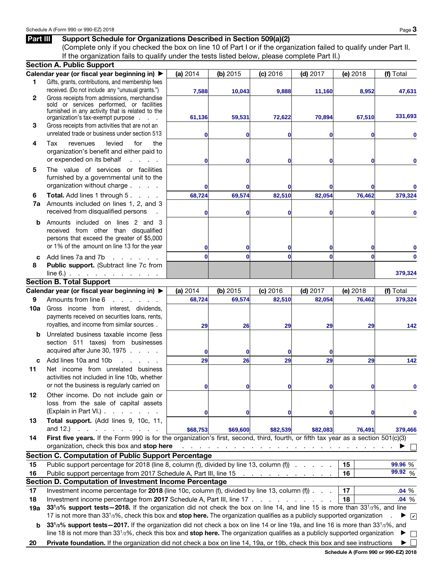## Part III Support Schedule for Organizations Described in Section 509(a)(2)

(Complete only if you checked the box on line 10 of Part I or if the organization failed to qualify under Part II. If the organization fails to qualify under the tests listed below, please complete Part II.)

|     | <b>Section A. Public Support</b>                                                                                                                                                                     |              |                                                                                                            |              |                                                                                                                                   |          |                     |  |  |  |
|-----|------------------------------------------------------------------------------------------------------------------------------------------------------------------------------------------------------|--------------|------------------------------------------------------------------------------------------------------------|--------------|-----------------------------------------------------------------------------------------------------------------------------------|----------|---------------------|--|--|--|
|     | Calendar year (or fiscal year beginning in) ▶                                                                                                                                                        | (a) 2014     | (b) $2015$                                                                                                 | (c) 2016     | $(d)$ 2017                                                                                                                        | (e) 2018 | (f) Total           |  |  |  |
| 1   | Gifts, grants, contributions, and membership fees                                                                                                                                                    |              |                                                                                                            |              |                                                                                                                                   |          |                     |  |  |  |
|     | received. (Do not include any "unusual grants.")                                                                                                                                                     | 7,588        | 10,043                                                                                                     | 9,888        | 11,160                                                                                                                            | 8,952    | 47,631              |  |  |  |
| 2   | Gross receipts from admissions, merchandise                                                                                                                                                          |              |                                                                                                            |              |                                                                                                                                   |          |                     |  |  |  |
|     | sold or services performed, or facilities<br>furnished in any activity that is related to the                                                                                                        |              |                                                                                                            |              |                                                                                                                                   |          |                     |  |  |  |
|     | organization's tax-exempt purpose                                                                                                                                                                    | 61,136       | 59,531                                                                                                     | 72,622       | 70,894                                                                                                                            | 67,510   | 331,693             |  |  |  |
| 3   | Gross receipts from activities that are not an                                                                                                                                                       |              |                                                                                                            |              |                                                                                                                                   |          |                     |  |  |  |
|     | unrelated trade or business under section 513                                                                                                                                                        | 0            | 0                                                                                                          | 0            | 0                                                                                                                                 | 0        |                     |  |  |  |
| 4   | Tax<br>levied<br>the<br>revenues<br>for                                                                                                                                                              |              |                                                                                                            |              |                                                                                                                                   |          |                     |  |  |  |
|     | organization's benefit and either paid to                                                                                                                                                            |              |                                                                                                            |              |                                                                                                                                   |          |                     |  |  |  |
|     | or expended on its behalf<br>a na mara                                                                                                                                                               | 0            | 0                                                                                                          | 0            | 0                                                                                                                                 | 0        |                     |  |  |  |
| 5   | The value of services or facilities                                                                                                                                                                  |              |                                                                                                            |              |                                                                                                                                   |          |                     |  |  |  |
|     | furnished by a governmental unit to the                                                                                                                                                              |              |                                                                                                            |              |                                                                                                                                   |          |                     |  |  |  |
|     | organization without charge                                                                                                                                                                          | 0            |                                                                                                            | 0            | 0                                                                                                                                 | 0        |                     |  |  |  |
| 6   | Total. Add lines 1 through 5.<br><b>Contractor</b>                                                                                                                                                   | 68,724       | 69,574                                                                                                     | 82,510       | 82,054                                                                                                                            | 76,462   | 379,324             |  |  |  |
| 7a  | Amounts included on lines 1, 2, and 3                                                                                                                                                                |              |                                                                                                            |              |                                                                                                                                   |          |                     |  |  |  |
|     | received from disqualified persons                                                                                                                                                                   | 0            | 0                                                                                                          | 0            | 0                                                                                                                                 | 0        |                     |  |  |  |
| b   | Amounts included on lines 2 and 3                                                                                                                                                                    |              |                                                                                                            |              |                                                                                                                                   |          |                     |  |  |  |
|     | received from other than disqualified                                                                                                                                                                |              |                                                                                                            |              |                                                                                                                                   |          |                     |  |  |  |
|     | persons that exceed the greater of \$5,000                                                                                                                                                           |              |                                                                                                            |              |                                                                                                                                   |          |                     |  |  |  |
|     | or 1% of the amount on line 13 for the year                                                                                                                                                          | $\mathbf{0}$ | 0                                                                                                          | 0            | 0                                                                                                                                 | 0        |                     |  |  |  |
| C   | Add lines 7a and 7b<br><b>Service</b> State                                                                                                                                                          | $\bf{0}$     | $\bf{0}$                                                                                                   | 0            | $\Omega$                                                                                                                          | $\bf{0}$ | 0                   |  |  |  |
| 8   | Public support. (Subtract line 7c from                                                                                                                                                               |              |                                                                                                            |              |                                                                                                                                   |          |                     |  |  |  |
|     | $line 6$ .)                                                                                                                                                                                          |              |                                                                                                            |              |                                                                                                                                   |          | 379,324             |  |  |  |
|     | <b>Section B. Total Support</b>                                                                                                                                                                      |              |                                                                                                            |              |                                                                                                                                   |          |                     |  |  |  |
|     | Calendar year (or fiscal year beginning in) ▶                                                                                                                                                        | (a) 2014     | (b) $2015$                                                                                                 | (c) 2016     | $(d)$ 2017                                                                                                                        | (e) 2018 | (f) Total           |  |  |  |
| 9   | Amounts from line 6                                                                                                                                                                                  | 68,724       | 69,574                                                                                                     | 82,510       | 82,054                                                                                                                            | 76,462   | 379,324             |  |  |  |
| 10a | Gross income from interest, dividends,                                                                                                                                                               |              |                                                                                                            |              |                                                                                                                                   |          |                     |  |  |  |
|     | payments received on securities loans, rents,                                                                                                                                                        |              |                                                                                                            |              |                                                                                                                                   |          |                     |  |  |  |
|     | royalties, and income from similar sources.                                                                                                                                                          | 29           | 26                                                                                                         | 29           | 29                                                                                                                                | 29       | 142                 |  |  |  |
| b   | Unrelated business taxable income (less                                                                                                                                                              |              |                                                                                                            |              |                                                                                                                                   |          |                     |  |  |  |
|     | section 511 taxes) from businesses                                                                                                                                                                   |              |                                                                                                            |              |                                                                                                                                   |          |                     |  |  |  |
|     | acquired after June 30, 1975                                                                                                                                                                         | $\mathbf{0}$ | 0                                                                                                          | 0            | 0                                                                                                                                 |          |                     |  |  |  |
| c   | Add lines 10a and 10b                                                                                                                                                                                | 29           | 26                                                                                                         | 29           | 29                                                                                                                                | 29       | 142                 |  |  |  |
| 11  | Net income from unrelated business                                                                                                                                                                   |              |                                                                                                            |              |                                                                                                                                   |          |                     |  |  |  |
|     | activities not included in line 10b, whether                                                                                                                                                         |              |                                                                                                            |              |                                                                                                                                   |          |                     |  |  |  |
|     | or not the business is regularly carried on                                                                                                                                                          | $\mathbf{0}$ | 0                                                                                                          | $\mathbf{0}$ | $\mathbf{0}$                                                                                                                      | 0        | 0                   |  |  |  |
| 12  | Other income. Do not include gain or                                                                                                                                                                 |              |                                                                                                            |              |                                                                                                                                   |          |                     |  |  |  |
|     | loss from the sale of capital assets                                                                                                                                                                 |              |                                                                                                            |              |                                                                                                                                   |          |                     |  |  |  |
|     | (Explain in Part VI.)                                                                                                                                                                                | $\mathbf{0}$ | 0                                                                                                          | 0            | 0                                                                                                                                 | 0        | 0                   |  |  |  |
| 13  | Total support. (Add lines 9, 10c, 11,                                                                                                                                                                |              |                                                                                                            |              |                                                                                                                                   |          |                     |  |  |  |
|     | and 12.) $\cdots$ $\cdots$                                                                                                                                                                           | \$68,753     | \$69,600                                                                                                   | \$82,539     | \$82,083                                                                                                                          | 76,491   | 379,466             |  |  |  |
| 14  | First five years. If the Form 990 is for the organization's first, second, third, fourth, or fifth tax year as a section 501(c)(3)<br>organization, check this box and stop here                     |              |                                                                                                            |              |                                                                                                                                   |          |                     |  |  |  |
|     | <b>Section C. Computation of Public Support Percentage</b>                                                                                                                                           |              | المناطق والمناطق والمناطق والمناطق والمناطق والمناطق والمناطق والمناطق والمناطق والمناطق والمناطق والمناطق |              |                                                                                                                                   |          |                     |  |  |  |
| 15  | Public support percentage for 2018 (line 8, column (f), divided by line 13, column (f) canceled by line 13, column (f)                                                                               |              |                                                                                                            |              |                                                                                                                                   | 15       | 99.96 %             |  |  |  |
| 16  | Public support percentage from 2017 Schedule A, Part III, line 15                                                                                                                                    |              |                                                                                                            |              |                                                                                                                                   | 16       | $99.92\frac{1}{96}$ |  |  |  |
|     | Section D. Computation of Investment Income Percentage                                                                                                                                               |              |                                                                                                            |              |                                                                                                                                   |          |                     |  |  |  |
| 17  | Investment income percentage for 2018 (line 10c, column (f), divided by line 13, column (f)).                                                                                                        |              |                                                                                                            |              |                                                                                                                                   | 17       | .04%                |  |  |  |
| 18  |                                                                                                                                                                                                      |              |                                                                                                            |              |                                                                                                                                   | 18       | .04%                |  |  |  |
| 19a | Investment income percentage from 2017 Schedule A, Part III, line 17<br>331/3% support tests - 2018. If the organization did not check the box on line 14, and line 15 is more than 331/3%, and line |              |                                                                                                            |              |                                                                                                                                   |          |                     |  |  |  |
|     | 17 is not more than 33 <sup>1</sup> /3%, check this box and stop here. The organization qualifies as a publicly supported organization<br>$\mathbf{v}$                                               |              |                                                                                                            |              |                                                                                                                                   |          |                     |  |  |  |
|     |                                                                                                                                                                                                      |              |                                                                                                            |              | 331/3% support tests - 2017. If the organization did not check a box on line 14 or line 19a, and line 16 is more than 331/3%, and |          |                     |  |  |  |
|     |                                                                                                                                                                                                      |              |                                                                                                            |              |                                                                                                                                   |          |                     |  |  |  |
| b   | line 18 is not more than $3313%$ , check this box and stop here. The organization qualifies as a publicly supported organization                                                                     |              |                                                                                                            |              |                                                                                                                                   |          |                     |  |  |  |
| 20  | Private foundation. If the organization did not check a box on line 14, 19a, or 19b, check this box and see instructions                                                                             |              |                                                                                                            |              |                                                                                                                                   |          |                     |  |  |  |